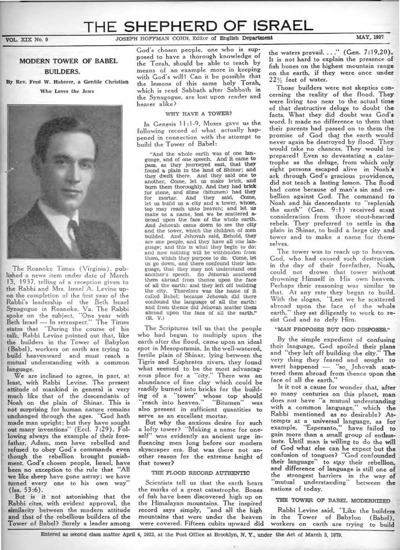# **THE SHEPHERD OF ISRAEL**

## VOL. XIX No. 9 **JOSEPH HOFFMAN COHN, Editor of English Department** MAY, 1937

## **MODERN TOWER OF BABEL BUILDERS.**

**By Rev. Fred W. Haberer, a Gentile Christian Who Loves the Jews** 



**The Roanoke Times (Virginia), published a news item under date of March 13, 1937, telling of a reception given to the Rabbi and Mrs. Israel A. Levine upon the completion of the first year of the Rabbi's leadership of the Beth Israel Synagogue in Roanoke, Va. The Rabbi**  spoke on the subject, "One year with **Beth Israel — In retrospect."** The Times **states that "During the course of his talk, Rabbi Levine pointed out that, like the builders in the Tower of Babylon (Babel), workers on earth are trying to build heavenward and must reach a mutual understanding with a common language.** 

**We are inclined to agree, in part, at least, with Rabbi Levine. The present attitude of mankind in general is very much like that of the descendants of Noah on the plain of Shinar. This is not surprising for human nature remains unchanged through the ages. "God hath made man upright; but they have sought out many inventions" (Eccl. 7:29). Following always the example of their forefather, Adam, men have rebelled and refused to obey God's commands even though the rebellion brought punishment. God's chosen people, Israel, have been no exception to the rule that "All we like sheep have gone astray; we have turned every one to his own way" (Isa. 53:6).** 

**But is it not astonishing that the Rabbi cites, with evident approval, the similarity between the modern attitude and that of the rebellious builders of the Tower of Babel? Surely a leader among**  **God's chosen people, one who is supposed to have a thorough knowledge of the Torah, should be able to teach by means of an example more in keeping with God's will! Can it be possible that the lessons of this same holy Torah, which is read Sabbath after Sabbath in the Synagogue, are lost upon reader and hearer alike?** 

#### **WHY HAVE A TOWER?**

**In Genesis 11:1-9, Moses gave us the following record of what actually happened in connection with the attempt to build the Tower of Babel:** 

**"And the whole earth was of one language, and of one speech. And it came to pass, as they journeyed east, that they found a plain in the land of Shinar; and they dwelt there. And they said one to another, Come, let us make brick, and burn them thoroughly. And they had brick for stone, and slime (bitumen) had they for mortar. And they said, Come, let us build us a city and a tower, whose, top may reach unto heaven; and let us make us a name, lest we be scattered abroad upon the face of the whole earth. And Jehovah came down to see the city and the tower, which the children of men builded. And Jehovah said, Behold, they are one people, and they have all one language; and this is what they begin to do: and now nothing will be withholden from them, which they purpose to do. Come, let us go down, and there confound their language, that they may not understand one another's speech. So Jehovah scattered them abroad from thence upon the face of all the earth: and they left off building the city. Therefore was the name of it called Babel; because Jehovah did there confound the language of all the earth: and'from thence did Jehovah scatter them abroad upon the face of all the earth." (R. V.)** 

**The Scriptures tell us that the people who had begun to multiply upon the earth after the flood, came upon an ideal spot in Mesopotamia. In the well-watered, fertile plain of Shinar, lying between the Tigris and Euphrates rivers, they found what seemed to be the most advantag**eous place for a "city." There was an **abundance of fine clay which could be readily burned into bricks for the building of a "tower" whose top should**  "**reach into heaven." "Bitumen" was also present in sufficient quantities to serve as an excellent mortar.** 

**But why the anxious desire for such a lofty tower? "Making a name for one**self" was evidently an ancient urge in**fluencing men long before our modern skyscraper era. But was there not another reason for the extreme height of that tower?** 

#### **THE FLOOD RECORD AUTHENTIC**

Scientists tell us that the earth bears the marks of a great catastrophe. **Bones of fish have been discovered high up on the Himalayan mountains. The inspired record says simply, "and all the high mountains that were under the heaven were covered. Fifteen cubits upward did**  **the waters prevail...." (Gen. 7:19,20). It is not hard to explain the presence of fish bones on the highest mountain range on the earth, if they were once under**  221/<sub>2</sub> feet of water.

**Those builders were not skeptics concerning the reality of the flood. They were living too near to the actual time of that destructive deluge to doubt the facts. What they did doubt was God's word. It made no difference to them that their parents had passed on to them the promise of God that the earth would never again be destroyed by flood. They would take no chances. They would be prepared! Even so devastating a catastrophe as the deluge, from which only eight persons escaped alive in Noah's ark through God's gracious providence, did not teach a lasting lesson. The flood had come because of man's sin and rebellion against God. The command to Noah and his descendants to "replenish the earth" (Gen. 9:1) received scant consideration from those stout-hearted rebels. They preferred to settle in the plain in Shinar, to build a large city and tower and to make a name for themselves.** 

**The tower was to reach up to heaven. God, who had caused such destruction in the day of their forefather, Noah, could not drown that tower without drowning Himself in His own heaven. Perhaps their reasoning was similar to that. At any rate they began to build. With the slogan, "Lest we be scattered abroad upon the face of the whole earth," they set diligently to work to resist God and to defy Him.** 

## **"MAN PROPOSES BUT GOD DISPOSES."**

**By the simple expedient of confusing their language, God spoiled their plans and "they left off building the city?' The very thing they feared and sought to**  very thing they teared and sought to<br>avert happened — "so Jehovah scat-<br>tered tham absord from thence upon the **tere**d **them abroad fromthence upon the**  face of all the earth."

**Is it not a cause for wonder that, after so many centuries on this planet, man does not have "a mutual understanding with a common language," which the Rabbi mentioned as so desirable? Attempts at a universal language, as for example, "Esperanto," have failed to gain more than a small group of enthusiasts. Until man is willing to do the will of God what else can he expect but the confusion of tongues? "God confounded their language'.to stay their rebellion, and difference of language is still one of the strongest barriers in the way of**  "**mutual understanding" between the nations of today.** 

#### THE TOWER OF BABEL MODERNIZED

**Rabbi Levine said, "Like the builders in the Tower of Babylon (Babel), workers on earth are trying to build**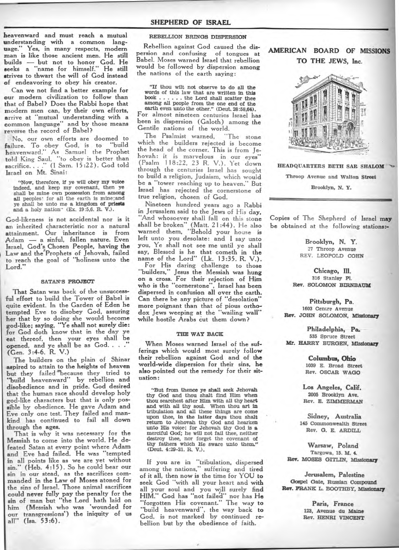**heavenward and must reach a mutual understanding with a common language?' Yes, in many respects, modern man is like those ancient men. He still builds — but not to honor God. He seeks a "name for himself.' He still strives to thwart the will of God instead of endeavoring to obey his creator.** 

**Can we not find a better example for our modern civilization to follow than that of Babel? Does the Rabbi hope that modern men can, by their own efforts, arrive at "mutual understanding with a common language" and by those means reverse the record of Babel?** 

**No, our own efforts are doomed to failure. To obey God, is to "build heavenward.- As Samuel the Prophet told King Saul, "to obey is better than sacrifice...."(I Sam. 15:22). God told Israel on Mt. Sinai:** 

**"Now, therefore, if ye will obey my voice indeed, and keep my covenant, then ye shall be mine own possession from among all peoples! for all the earth is mine;and ye shall be unto me a kingdom of priests and, a holy nation" (Ex. 19:5,6. R. V.).** 

**God-likeness is not accidental nor is it an inherited characteristic nor a natural attainment. Our inheritance is from Adam — a sinful, fallen nature. Even Israel, God's Chosen People, having the Law and the/Prophets of Jehovah, failed to reach the goal of "holiness unto the**  Lord."

#### **SATAN'S PROJECT**

**That Satan was back of the unsuccessful effort to build the Tower of Babel is quite evident. In the Garden of Eden he tempted Eve to disobey God, assuring her that by so doing she would become god-like; saying, "Ye shall not surely die: for God doth know that in the day ye eat thereof, then your eyes shall be opened, and ye shall be as God.. . <sup>9</sup> (Gen. 3:4-6. R. V.)** 

**The builders on the plain of Shinar aspired to attain to the heights of heaven but they failed 'because they tried to**  "build heavenward" by rebellion and **disobedience and in pride. God desired that the human race should develop holy god-like characters but that is only possible by obedience. He gave Adam and Eve only one test. They failed and mankind has continued to fail all down through the ages.** 

**That is why it was necessary for the Messiah to come into the world. He defeated Satan at every point where Adam and Eve had failed. He was "tempted in all points like as we are yet without sin." (Heb. 4:15). So he could bear our sin in our stead, as the sacrifices commanded in the Law of Moses atoned for the sins of Israel. Those animal sacrifices could never fully pay the penalty for the sin of man but "the Lord hath laid on him (Messiah who was 'wounded for our transgressions') the iniquity of us all" (Isa. 53:6).** 

#### **REBELLION BRINGS DISPERSION**

**Rebellion against God caused the dispersion and confusing of tongues at Babel. Moses warned Israel that rebellion would be followed by dispersion among the nations of the earth saying:** 

**"If thou wilt not observe to do all the words of this law that are written in this**  book . . . . . . the Lord shall scatter thee **among all people from the one end of the** 

**earth even unto the other." (Deut. 28:58,64). For almost nineteen centuries Israel has been in dispersion (Galoth) among the Gentile nations of the world.** 

**The Psalmist warned, "The stone which the builders rejected is become the head of the corner. This is from Jehovah: it is marvelous in our eyes" (Psalm 118:22, 23 R. V.). Yet down through the centuries Israel has sought to build a religion, Judaism, which would be a "tower reaching up to heaven." But Israel has rejected the cornerstone of true religion, chosen of God.** 

**Nineteen hundred years ago a Rabbi in Jerusalem said to the Jews of His day, "And whosoever shall fall on this stone shall be broken" (Matt. 21:44). He also warned them, "Behold your house is left unto you desolate: and I say unto you, Ye shall not see me until ye shall say, Blessed is he that cometh in the name of the Lord" (Lk. 13:35. R. V.). For His daring challenge to those "builders," Jesus the Messiah was hung on a cross. For their rejection of Him who is the "cornerstone", Israel has been dispersed in confusion all over the earth. Can there be any picture of ''desolation" more poignant than that of pious orthodox Jews weeping at the "wailing wall" while hostile Arabs cut them down?** 

#### **THE WAY BACK**

**When Moses warned Israel of the sufferings which would most surely follow their rebellion against God and of the world-wide dispersion for their sins, he also pointed out the remedy for their situation:** 

**"But from thence ye shall seek Jehovah thy God and thou shalt find Him when thou; searchest after Him with all thy heart and with all thy soul. When thou art in tribulation and all these things are come upon thee, in the latter days thou shalt return to Jehovah thy God and hearken unto His voice: for Jehovah thy God is a merciful God; he will not fail thee, neither destroy thee, nor forget the covenant of thy fathers which He** *sware* **unto them." (Deut. 4:29-31. R. V.).** 

**If you are in "tribulation, dispersed among the nations," suffering and tired of it all, then now is the time for YOU to seek God "with all your heart and with all your soul and you will surely find HIM:' God has "not failed" nor has He "forgotten His covenant." The way to "build heavenward", the way back to God, is not marked by continued rebellion but by the obedience of faith.** 

## **AMERICAN BOARD OF MISSIONS TO THE JEWS, Inc.**



**HEADQUARTERS BETH SAR SHALOM Throop Avenue and Walton Street Brooklyn, N. Y.** 

**Copies of The Shepherd of Israel may be obtained at the following stations:-** 

> **Brooklyn, N. Y. 27 Throop Avenue REV. LEOPOLD COHN**

**Chicago, III. 316 Stanley P1. Rev. SOLOMON BIRNBAUM** 

**Pittsburgh, Pa. 1603 Centre Avenue Rev. JOHN SOLOMON, Missionary** 

**Philadelphia, Pa. 535 Spruce Street Mr. HARRY BURGEN, Missionary** 

> **Columbus, Ohio 1039 E. Broad Street Rev. OSCAR WAGO**

**Los Angeles, Calif. 2005 Brooklyn Ave. Rev. E. ZIMMERMAN** 

**Sidney, Australia 145 Commonwealth Street Rev. G. E. ARDILL** 

**Warsaw, Poland Targowa, 15. M. 4. Rev. MOSES GITLIN, Missionary** 

**Jerusalem, Palestine Gospel Gate, Russian Compound Rev. FRANK L. BOOTHBY, Missionary** 

> **Paris, France 123, Avenue du Maine Rev. HENRI VINCENT**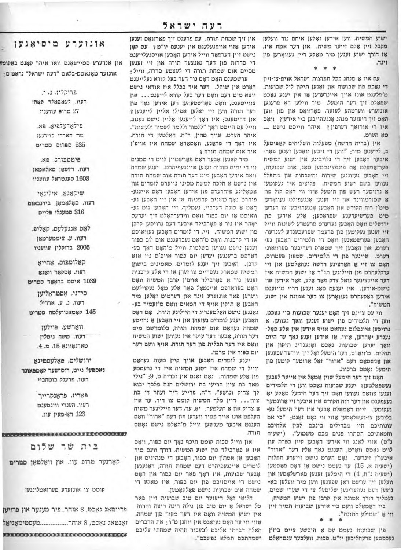ישוע המשיח. ווען אידען זאָלען איהם נור וועלען מקבל זיין אלם זייער משיח. און דער אמת איז. אז דורך ישוע זענען מיר מאקע ריין געוואָרען פון זינד.

\* \*

עם איז א מנהג בכל תפוצות ישראל אויפ-צו-זיין די נאכם פון שבועות און זאָגען תיקון ליל שבועות. מ'פלענט אונז אויך איינרעדען אז אין יענע נאכט שפאַלט זיך דער הימעל. מיר ווילען דאָ פרענען אונזערע ווערטהע לעזער, פאָרוואָס און פון ווען האָט זיך דיעזער מנהג אָנגעהויבען ביי אידען? וואָס איז די אורואך דערפון? איהר ווייסט נישט טאָ הערט.

אין (ברית חדשה) מפעלות השליחים קאפיטעל ב, לייענען מיר: "ווען די זיבען וואָכען זענען פאָר- איד אום שמחת תורה ? איבער האָבען זיך די גלויביגע אין ישוע המשיח פערואמעלט אם פונפציגסטען טאָג, אום שבועות, זיי האָבען געזונגען שירות ותשבחות און מתפלל נעווען בשם ישוע המשיח. פלוצים איז געקומען 8 גרויסער רעש פון הימעל אזוי ווי דאָס קול פון 8 שטורמווינד און זיי זענען אָנגעפילט געוואָרען מיט'ן רוח הקודש און האָבען אָנגעהויבען צו רעדען מיט פערשיעדענע שפראכען; אלע אידען פון ירושלים וואָם האָבען נערערט פרעמדע לשונות ווייל זיי זענען געקומען פון פרעמר שפרעכענדע לענדער, האָבען פערשטאַנען וואָס די תלמידים האָבען גע-רערט, און האָבען זיך שטאַרק דעריבער פערוואונ-דערט. איינער פון די תלמידים, שמעון פעטרום, האָט צו זיי אַ האַרצינע דרשה נעהאַלטען און זיי ערקלעהרט פון הייליגען תנ"ך או ישוע המשיח איו דער איינציגער גואל צדק פאר אלע, פאר אידען און נישט-אירען. אין יענעם טאָג זענען דריי טויזענט אידען באקעהרט געוואָרען צו דער אמונה אין ישוע המשיח".

> ווי עם צייגם זיך האָם יענער שבועות ביי נאַכם, ווען די תלמידים פון ישוע זענען וואך געווען, א -גרויסען איינפלוס געהאַט אויף אידען אין אַלע פּאָל גענדע יאָהרען, אווי, או אידען זענע נאָך ער היום וואך יעדען שבועות נאכט זאָגענדיג תיקון און תהלים. מ'ווארט, דער הימעל זאָל זיך ווידער עפענען און אנשטאט דעם "ארור" זאָל ארוטער קומען פון הימעל נאָטס ברכות.

האָם זיך דער הימעל שוין אַמאָל אין אייער לעבען נעשפאלמען? יענע שבועות נאכמ ווען די תלמידים זענען צוואַם געווען האָט זיך דער הימעל טאַקע יאָ נעעפענט און דער רוח הקודש איז איבער זיי ארונטער נעקומען. זיים דאַמאָלס אָבער איז דער הימעל גע-בליבען צו-נעשלאָסען אווי ווי גאָט ואָגט: "כי אם עונותיכם היו מבדילים בינכם לבין אלהיכם וחמאתיכם הסתרו פנים מכם משמוע". (ישעיה נ"ם) אזוי לאנג ווי אידען האָבען קיין כפרת עון לויט גאָטס וואָרט, הענגט נאָך אַלץ דער "ארור" איבער'ן זינדער. נאָט הערט נישט זייערע תפלות (ישעיה א, 15) ער נעמט נישט אן דאָם פאַסטען (ישעיה נ"ח, 4) די הימלען זענען פארשלאָסען און וועלען זיך ערשט ראן עפענען ווען מיר וועלען בא-נוצען דעם געהעריגען שליסעל צו די שערי שמים, נעמליך דורך אמונה אין קרבן פון ישוע המשיח; ביז האמאלם וועט ביי אידען שבועות תמיד זיין

ווי 8 "שטילע חתונה".

פון שבועות נעמט עס א היבשע צייט ביז'ן נעכסטען פרעהליכען יו"ט. סכות, וועלכער ענטהאלט נשמחתכם תמלא נפשכם".

אין זיך שמחת תורה. עם פרעגם זיך פארוואָם זענען אידען אווי אויפגעלענט אין יענעם יו״ט? עס קאָן נישט זיין דערפאר ווייל אידען האָבען אויסגעלייענט די סדרות פון דער גאנצער תורה און זיי זענען מסיים אום שמחת תורה די לעצמע סדרה, ווייל: ערשמענם האָמ דאָם נור דער בעל קורא געלייענמ

דאָרט אין שוהל. דער איד בכלל איז אודאי נישט יוצא מיט דעם וואָם דער בעל קורא לייענט... און צווייטענס, וואָס פֿאַרשטעהען דען אידען גאָר פֿון דער תורה ווען זיי זאָלען אפילו אליין לייענען ? און דריטענס: איז דאָך לייענען אַליין נישט גענוג. ווייל עם הייסט דאָך "ללמוד וללמד לשמור ולעשות". איהר הערט. אויך טהון, ד"ה, האלטען די תורה. איז דאָך די פראַנע, וואָסאַראַ שמחה איז אויפ'ן

מיר קאָנען אָבער דאָס פֿאַרשטיין לויט די סמנים ווי די ימים טובים זענען איינגעפיהרט. יענע שמחה וואָם אידען האָבען מיט דער תורה אום שמחת תורה איז נישט 8 הלכה למשה מסיני נייערט לומדים און אַמאָליגע פיהרערם פון אידען האָבען דאָם איינגע-פיהרט נאָך משנים קדמניות אָן און זיי האָבען גע-הָאַט אַ כונה דערביי, נעמליך, זיי האָבען גוט גע-וואוסט אז יום כפור וואָס ווידערהאָלט זיך יעדעס יאָהר איז נור אַ פֿאָרבילר איבער דעם גרויסען קרבן פון ישוע המשיח. זיי, די לומדים האָבען געוואוסם אז די קרבנות וואָס מ׳האָט געברענגט אום יום כפּור וענען נישט געווען בשלמות ווייל מ'האָט דאָך בע-דארפט ברענגען יעדען יום כפור אויפ'ס ניי אוא קרבן. האָבען זיך יענע לומדים, מאמינים בישוע המשיח שמארק געפריים צו זעהן אז די אלע קרבנות וענען נור א פארבילר אויפ'ן קרבן המשיח וואם האָט בעדאַרפט איינמאָל פאַר אַלע מאָל געקוילעט ווערען פאר אונזערע זינד און דערמים זאָלען מיר האָבען אַ תיקון אויף די חטאים וואָס מ׳זעמיר בע-גאַנגען נישט האַלטענדיג די הייליגע תורה. אָט דאָס האָבען יענע לומדים געזעהן און זיי האָבען אַ גרויסע שמחה געהאט אום שמחת תורה, כלומרשט מיט דער תורה, אָבער דער עיקר איז געווען ישוע המשיח וואָם איז דער תכלית פון דער תורה. אויף וועם דער יום כפור איז מרמז.

יענע לומדים האָבען אויך קיין מעות געהאַמ ווייל די שמחה אין ישוע המשיח איז די גרעסמע פון אלע שמחות. נאָט זאָגט אין זכריה ט, 9: "גילי מאד בת ציון הריעי בת ירושלים הנה מלכך יבוא לך צריק ונושע". ד"ה, פרייע דיך זעהר דו בת ציון... דיין מלך המשיח קומט צו דיר. ער איז 8 צריק און 8 העלפער. יא, ער. דער הייליגער משיח העלפט אונז אויך פטור ווערען פון דעם "ארור" וואָס הענגט איבער מענשען ווייל מ'האלט נישט גאָטס תורה.

און ווייל סכות קומט תיכף נאָך יום כפור, וואָס איז א פאָרבילר פון ישוע המשיח. דורך וועם מיר האָבען אַן אמת'ן יום כפור, האָבען די מנהיגים און לומדים איינגעפיהרט דעם שמחת תורה, דאגעגען אָבער שבועות, איז דאָך פאַר יום כפור און האָט נישט די אויסויכט פון יום כפור, איז טאקע די שמחה אום שבועות נישם פאָלקאָמען.

הלואי זאָל דיעזער יום טוב שבועות זיין פאַר כל ישראל 8 יום טוב פון גילה רינה דיצה וחדוה אין ישוע המשיח וואָם איז דער מקור פןן שמחה. אזוי ווי ער האָט געזאָגט אין יוחנן ט"ו : את הדברים האלה דברתי אליכם לבעבור תהיה שמחתי עליכם

## אונזערע מיסיאנען

און אנדערע סטיישאָנס וואו איהר קאָנט באַקומע אונזער מאָנאַטס-בלאַט "רעה ישראל" גראַט ס:

> ברוקלין, נ. י. רעוו. לעצפצלר קצחן יוועניו פרופ עוועניו

INB ISTERVIEW PIE מה האררי בוירנעו 635 ספרוס סטריט

פימסבורג, פא. רעוו. דושאן סאלאמאן 1603 סענטראל עוועניו

שיקאנא, אידינאי רעוו. סאָלאָמאָן בירנבאום 316 סטענלי פליים

לאם אגגעלעם. קאלים. רעוו. ע. ציממערמאן 2005 ברוסלין עוועניו

קאלומבום, אחייא רעוו. אסקאר וואגא 1039 איסט בראָאַד סטריט

סידני, אסטראליען רעוו. ג. ע. ארדיל 145 קאָמאָנוועלמה סטרים

> ווארשע. פוילען רעוו. משה נימלין םארנאוונא 15. מ. 4.

ירושלים. פאלעספינא נאספעל גייט, רוסישער קאַמפּאונד רעוו. פרענק בומהביי

> פאריז, פראנקרייך רעוו. הענרי ווינסענט 123 רא-מעין עוו.

# בית שר שלום

קארנער מרופ עוו. און וואלמאן סמרים

קומט צו אונזערע פערזאַמלונגען

פרייטאג נאכט, 8 אוהר..פיר מענער און פרויען ואַנטאג נאַכט, 8 אוהר.................טעסטימאַניאַל